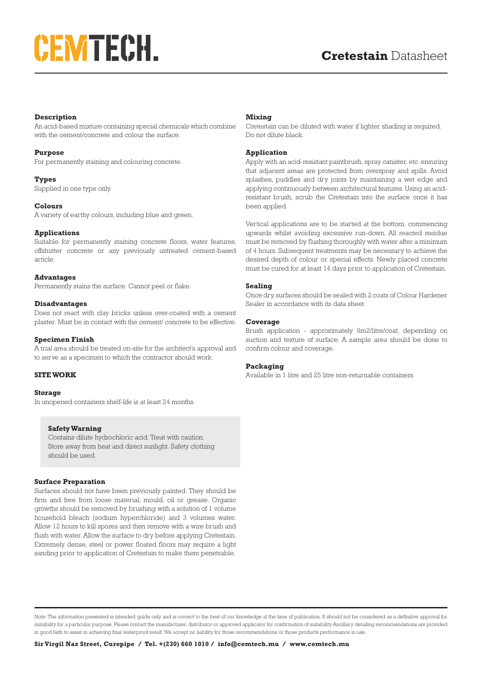# **CEMTECH.**

## **Description**

An acid-based mixture containing special chemicals which combine with the cement/concrete and colour the surface.

#### **Purpose**

For permanently staining and colouring concrete.

#### **Types**

Supplied in one type only.

## **Colours**

A variety of earthy colours, including blue and green.

## **Applications**

Suitable for permanently staining concrete floors, water features, offshutter concrete or any previously untreated cement-based article.

#### **Advantages**

Permanently stains the surface. Cannot peel or flake.

#### **Disadvantages**

Does not react with clay bricks unless over-coated with a cement plaster. Must be in contact with the cement/ concrete to be effective.

#### **Specimen Finish**

A trial area should be treated on-site for the architect's approval and to serve as a specimen to which the contractor should work.

#### **SITE WORK**

#### **Storage**

In unopened containers shelf-life is at least 24 months.

#### **Safety Warning**

Contains dilute hydrochloric acid. Treat with caution. Store away from heat and direct sunlight. Safety clothing should be used.

#### **Surface Preparation**

Surfaces should not have been previously painted. They should be firm and free from loose material, mould, oil or grease. Organic growths should be removed by brushing with a solution of 1 volume household bleach (sodium hyperchloride) and 3 volumes water. Allow 12 hours to kill spores and then remove with a wire brush and flush with water. Allow the surface to dry before applying Cretestain. Extremely dense, steel or power floated floors may require a light sanding prior to application of Cretestain to make them penetrable.

## **Mixing**

Cretestain can be diluted with water if lighter shading is required. Do not dilute black.

## **Application**

Apply with an acid-resistant paintbrush, spray canister, etc. ensuring that adjacent areas are protected from overspray and spills. Avoid splashes, puddles and dry joints by maintaining a wet edge and applying continuously between architectural features. Using an acidresistant brush, scrub the Cretestain into the surface once it has been applied.

Vertical applications are to be started at the bottom, commencing upwards whilst avoiding excessive run-down. All reacted residue must be removed by flushing thoroughly with water after a minimum of 4 hours. Subsequent treatments may be necessary to achieve the desired depth of colour or special effects. Newly placed concrete must be cured for at least 14 days prior to application of Cretestain.

#### **Sealing**

Once dry, surfaces should be sealed with 2 coats of Colour Hardener Sealer in accordance with its data sheet.

#### **Coverage**

Brush application - approximately 8m2/litre/coat, depending on suction and texture of surface. A sample area should be done to confirm colour and coverage.

## **Packaging**

Available in 1 litre and 25 litre non-returnable containers.

Note: The information presented is intended guide only and is correct to the best of our knowledge at the time of publication. It should not be considered as a definitive approval for suitability for a particular purpose. Please contact the manufacturer, distributor or approved applicator for confirmation of suitability. Ancillary detailing recommendations are provided in good faith to assist in achieving final waterproof result. We accept no liability for those recommendations or those products performance in use.